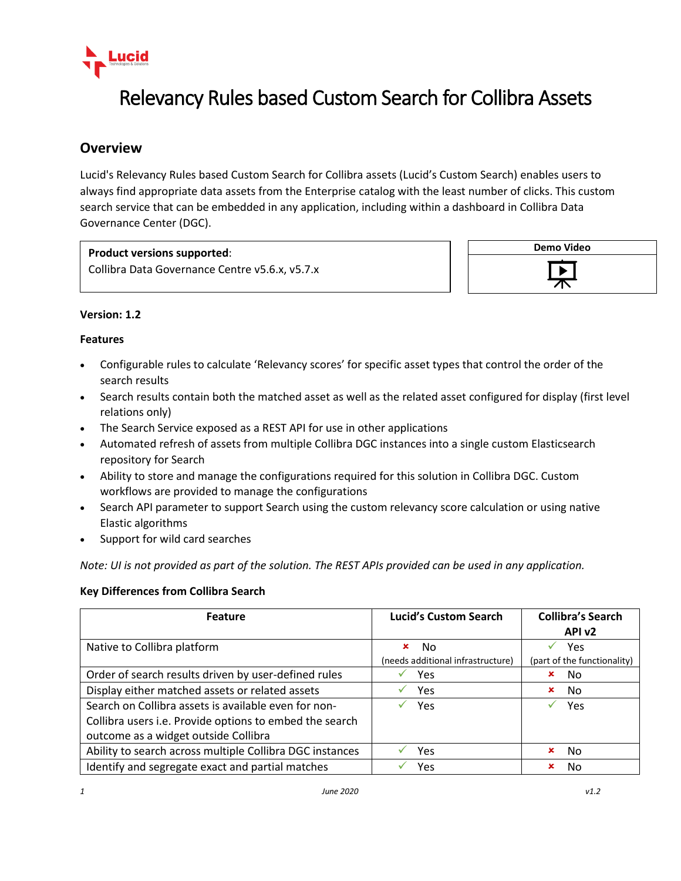

# Relevancy Rules based Custom Search for Collibra Assets

## **Overview**

Lucid's Relevancy Rules based Custom Search for Collibra assets (Lucid's Custom Search) enables users to always find appropriate data assets from the Enterprise catalog with the least number of clicks. This custom search service that can be embedded in any application, including within a dashboard in Collibra Data Governance Center (DGC).

### **Product versions supported**:

Collibra Data Governance Centre v5.6.x, v5.7.x



#### **Version: 1.2**

#### **Features**

- Configurable rules to calculate 'Relevancy scores' for specific asset types that control the order of the search results
- Search results contain both the matched asset as well as the related asset configured for display (first level relations only)
- The Search Service exposed as a REST API for use in other applications
- Automated refresh of assets from multiple Collibra DGC instances into a single custom Elasticsearch repository for Search
- Ability to store and manage the configurations required for this solution in Collibra DGC. Custom workflows are provided to manage the configurations
- Search API parameter to support Search using the custom relevancy score calculation or using native Elastic algorithms
- Support for wild card searches

*Note: UI is not provided as part of the solution. The REST APIs provided can be used in any application.*

#### **Key Differences from Collibra Search**

| Feature                                                                                                                                                 | <b>Lucid's Custom Search</b>                  | <b>Collibra's Search</b><br>API <sub>v2</sub> |
|---------------------------------------------------------------------------------------------------------------------------------------------------------|-----------------------------------------------|-----------------------------------------------|
| Native to Collibra platform                                                                                                                             | No.<br>×<br>(needs additional infrastructure) | Yes<br>(part of the functionality)            |
| Order of search results driven by user-defined rules                                                                                                    | Yes                                           | No<br>×                                       |
| Display either matched assets or related assets                                                                                                         | Yes                                           | No<br>×                                       |
| Search on Collibra assets is available even for non-<br>Collibra users i.e. Provide options to embed the search<br>outcome as a widget outside Collibra | Yes                                           | Yes<br>✓                                      |
| Ability to search across multiple Collibra DGC instances                                                                                                | Yes                                           | No<br>×                                       |
| Identify and segregate exact and partial matches                                                                                                        | Yes                                           | No<br>×                                       |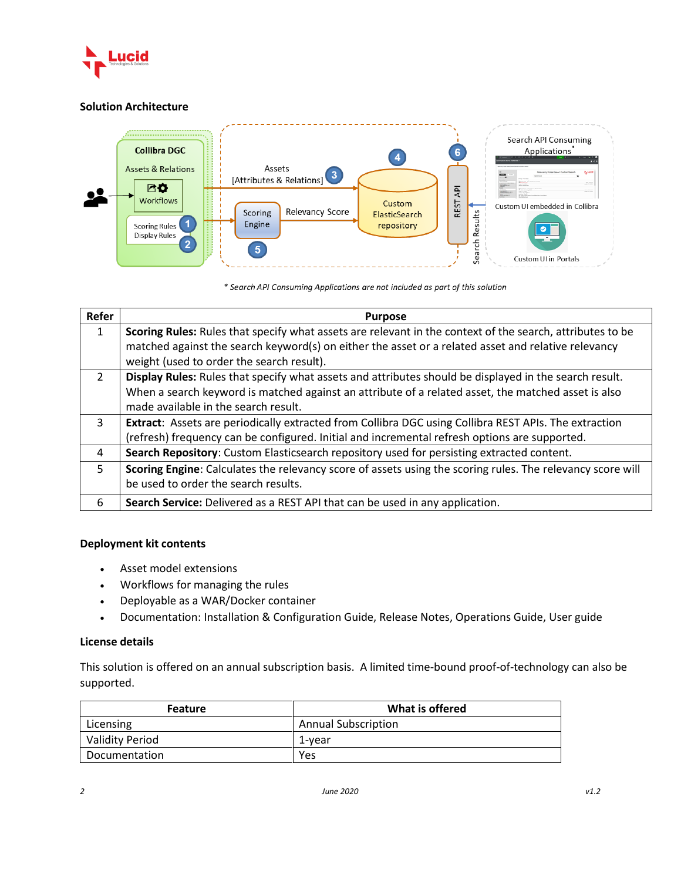

#### **Solution Architecture**



\* Search API Consuming Applications are not included as part of this solution

| Refer         | <b>Purpose</b>                                                                                             |  |  |  |
|---------------|------------------------------------------------------------------------------------------------------------|--|--|--|
| 1             | Scoring Rules: Rules that specify what assets are relevant in the context of the search, attributes to be  |  |  |  |
|               | matched against the search keyword(s) on either the asset or a related asset and relative relevancy        |  |  |  |
|               | weight (used to order the search result).                                                                  |  |  |  |
| $\mathcal{L}$ | Display Rules: Rules that specify what assets and attributes should be displayed in the search result.     |  |  |  |
|               | When a search keyword is matched against an attribute of a related asset, the matched asset is also        |  |  |  |
|               | made available in the search result.                                                                       |  |  |  |
| 3             | Extract: Assets are periodically extracted from Collibra DGC using Collibra REST APIs. The extraction      |  |  |  |
|               | (refresh) frequency can be configured. Initial and incremental refresh options are supported.              |  |  |  |
| 4             | Search Repository: Custom Elasticsearch repository used for persisting extracted content.                  |  |  |  |
| 5.            | Scoring Engine: Calculates the relevancy score of assets using the scoring rules. The relevancy score will |  |  |  |
|               | be used to order the search results.                                                                       |  |  |  |
| 6             | Search Service: Delivered as a REST API that can be used in any application.                               |  |  |  |

#### **Deployment kit contents**

- Asset model extensions
- Workflows for managing the rules
- Deployable as a WAR/Docker container
- Documentation: Installation & Configuration Guide, Release Notes, Operations Guide, User guide

#### **License details**

This solution is offered on an annual subscription basis. A limited time-bound proof-of-technology can also be supported.

| <b>Feature</b>         | What is offered            |
|------------------------|----------------------------|
| Licensing              | <b>Annual Subscription</b> |
| <b>Validity Period</b> | 1-vear                     |
| Documentation          | Yes                        |